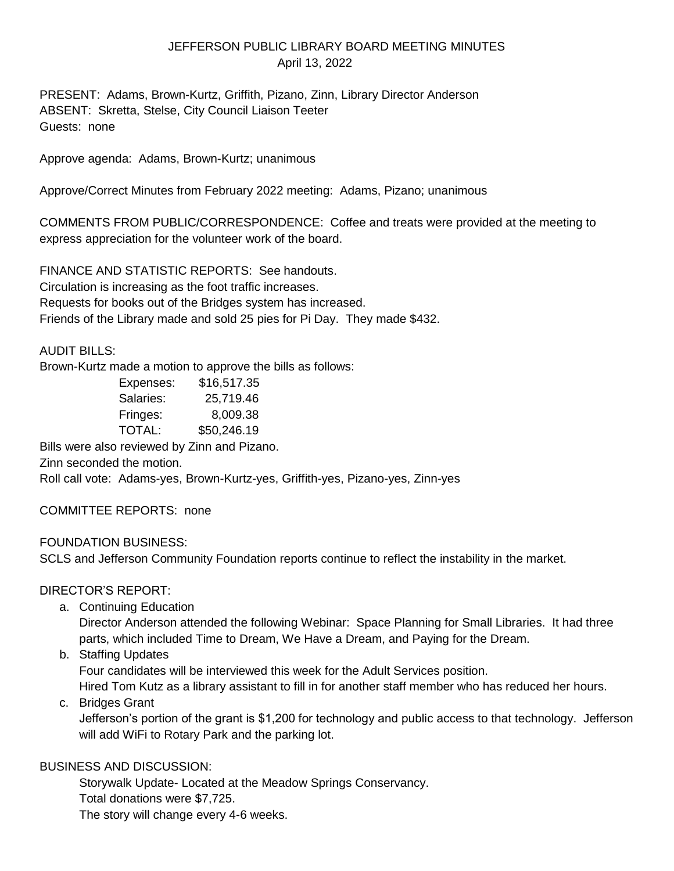# JEFFERSON PUBLIC LIBRARY BOARD MEETING MINUTES April 13, 2022

PRESENT: Adams, Brown-Kurtz, Griffith, Pizano, Zinn, Library Director Anderson ABSENT: Skretta, Stelse, City Council Liaison Teeter Guests: none

Approve agenda: Adams, Brown-Kurtz; unanimous

Approve/Correct Minutes from February 2022 meeting: Adams, Pizano; unanimous

COMMENTS FROM PUBLIC/CORRESPONDENCE: Coffee and treats were provided at the meeting to express appreciation for the volunteer work of the board.

FINANCE AND STATISTIC REPORTS: See handouts. Circulation is increasing as the foot traffic increases. Requests for books out of the Bridges system has increased. Friends of the Library made and sold 25 pies for Pi Day. They made \$432.

#### AUDIT BILLS:

Brown-Kurtz made a motion to approve the bills as follows:

| Expenses: | \$16,517.35 |
|-----------|-------------|
| Salaries: | 25,719.46   |
| Fringes:  | 8,009.38    |
| TOTAL:    | \$50,246.19 |

Bills were also reviewed by Zinn and Pizano.

Zinn seconded the motion.

Roll call vote: Adams-yes, Brown-Kurtz-yes, Griffith-yes, Pizano-yes, Zinn-yes

COMMITTEE REPORTS: none

FOUNDATION BUSINESS:

SCLS and Jefferson Community Foundation reports continue to reflect the instability in the market.

## DIRECTOR'S REPORT:

a. Continuing Education

Director Anderson attended the following Webinar: Space Planning for Small Libraries. It had three parts, which included Time to Dream, We Have a Dream, and Paying for the Dream.

b. Staffing Updates

Four candidates will be interviewed this week for the Adult Services position.

Hired Tom Kutz as a library assistant to fill in for another staff member who has reduced her hours. c. Bridges Grant

Jefferson's portion of the grant is \$1,200 for technology and public access to that technology. Jefferson will add WiFi to Rotary Park and the parking lot.

## BUSINESS AND DISCUSSION:

Storywalk Update- Located at the Meadow Springs Conservancy. Total donations were \$7,725. The story will change every 4-6 weeks.